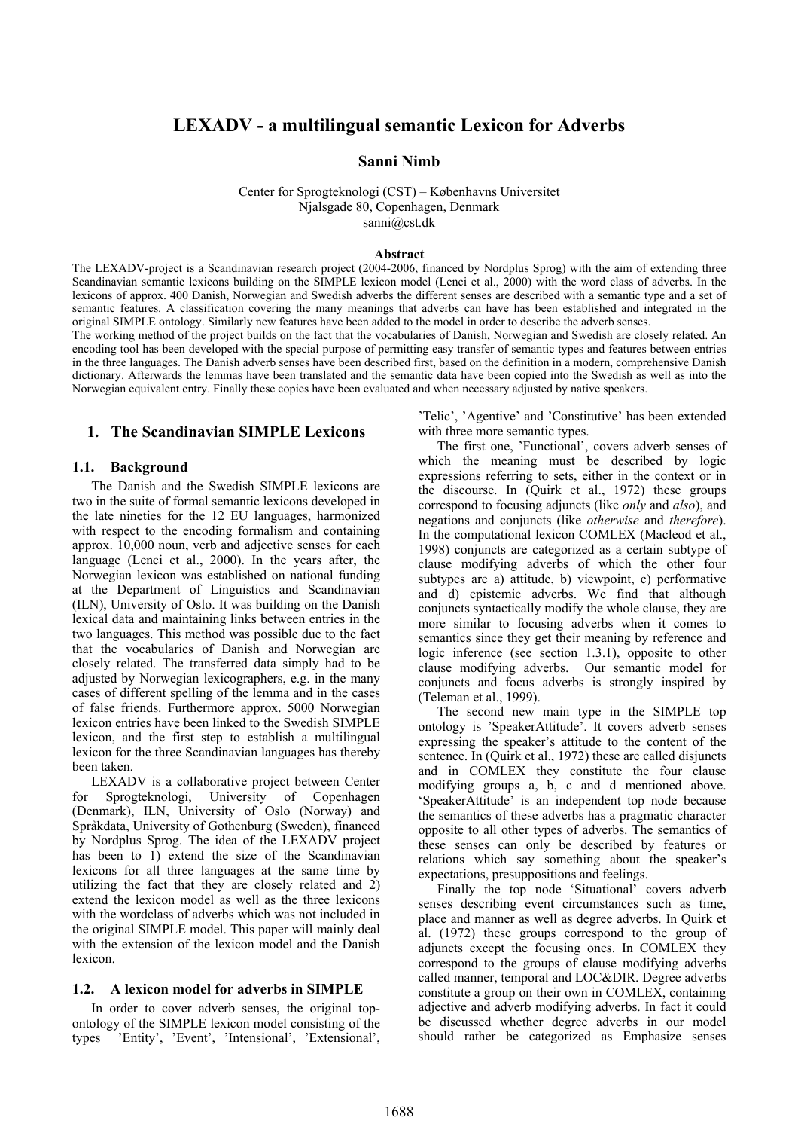# **LEXADV - a multilingual semantic Lexicon for Adverbs**

#### **Sanni Nimb**

Center for Sprogteknologi (CST) – Københavns Universitet Njalsgade 80, Copenhagen, Denmark sanni@cst.dk

#### **Abstract**

The LEXADV-project is a Scandinavian research project (2004-2006, financed by Nordplus Sprog) with the aim of extending three Scandinavian semantic lexicons building on the SIMPLE lexicon model (Lenci et al., 2000) with the word class of adverbs. In the lexicons of approx. 400 Danish, Norwegian and Swedish adverbs the different senses are described with a semantic type and a set of semantic features. A classification covering the many meanings that adverbs can have has been established and integrated in the original SIMPLE ontology. Similarly new features have been added to the model in order to describe the adverb senses.

The working method of the project builds on the fact that the vocabularies of Danish, Norwegian and Swedish are closely related. An encoding tool has been developed with the special purpose of permitting easy transfer of semantic types and features between entries in the three languages. The Danish adverb senses have been described first, based on the definition in a modern, comprehensive Danish dictionary. Afterwards the lemmas have been translated and the semantic data have been copied into the Swedish as well as into the Norwegian equivalent entry. Finally these copies have been evaluated and when necessary adjusted by native speakers.

# **1. The Scandinavian SIMPLE Lexicons**

#### **1.1. Background**

The Danish and the Swedish SIMPLE lexicons are two in the suite of formal semantic lexicons developed in the late nineties for the 12 EU languages, harmonized with respect to the encoding formalism and containing approx. 10,000 noun, verb and adjective senses for each language (Lenci et al., 2000). In the years after, the Norwegian lexicon was established on national funding at the Department of Linguistics and Scandinavian (ILN), University of Oslo. It was building on the Danish lexical data and maintaining links between entries in the two languages. This method was possible due to the fact that the vocabularies of Danish and Norwegian are closely related. The transferred data simply had to be adjusted by Norwegian lexicographers, e.g. in the many cases of different spelling of the lemma and in the cases of false friends. Furthermore approx. 5000 Norwegian lexicon entries have been linked to the Swedish SIMPLE lexicon, and the first step to establish a multilingual lexicon for the three Scandinavian languages has thereby been taken.

LEXADV is a collaborative project between Center for Sprogteknologi, University of Copenhagen (Denmark), ILN, University of Oslo (Norway) and Språkdata, University of Gothenburg (Sweden), financed by Nordplus Sprog. The idea of the LEXADV project has been to 1) extend the size of the Scandinavian lexicons for all three languages at the same time by utilizing the fact that they are closely related and 2) extend the lexicon model as well as the three lexicons with the wordclass of adverbs which was not included in the original SIMPLE model. This paper will mainly deal with the extension of the lexicon model and the Danish lexicon.

#### **1.2. A lexicon model for adverbs in SIMPLE**

In order to cover adverb senses, the original topontology of the SIMPLE lexicon model consisting of the types 'Entity', 'Event', 'Intensional', 'Extensional',

'Telic', 'Agentive' and 'Constitutive' has been extended with three more semantic types.

The first one, 'Functional', covers adverb senses of which the meaning must be described by logic expressions referring to sets, either in the context or in the discourse. In (Quirk et al., 1972) these groups correspond to focusing adjuncts (like *only* and *also*), and negations and conjuncts (like *otherwise* and *therefore*). In the computational lexicon COMLEX (Macleod et al., 1998) conjuncts are categorized as a certain subtype of clause modifying adverbs of which the other four subtypes are a) attitude, b) viewpoint, c) performative and d) epistemic adverbs. We find that although conjuncts syntactically modify the whole clause, they are more similar to focusing adverbs when it comes to semantics since they get their meaning by reference and logic inference (see section 1.3.1), opposite to other clause modifying adverbs. Our semantic model for conjuncts and focus adverbs is strongly inspired by (Teleman et al., 1999).

The second new main type in the SIMPLE top ontology is 'SpeakerAttitude'. It covers adverb senses expressing the speaker's attitude to the content of the sentence. In (Quirk et al., 1972) these are called disjuncts and in COMLEX they constitute the four clause modifying groups a, b, c and d mentioned above. 'SpeakerAttitude' is an independent top node because the semantics of these adverbs has a pragmatic character opposite to all other types of adverbs. The semantics of these senses can only be described by features or relations which say something about the speaker's expectations, presuppositions and feelings.

Finally the top node 'Situational' covers adverb senses describing event circumstances such as time, place and manner as well as degree adverbs. In Quirk et al. (1972) these groups correspond to the group of adjuncts except the focusing ones. In COMLEX they correspond to the groups of clause modifying adverbs called manner, temporal and LOC&DIR. Degree adverbs constitute a group on their own in COMLEX, containing adjective and adverb modifying adverbs. In fact it could be discussed whether degree adverbs in our model should rather be categorized as Emphasize senses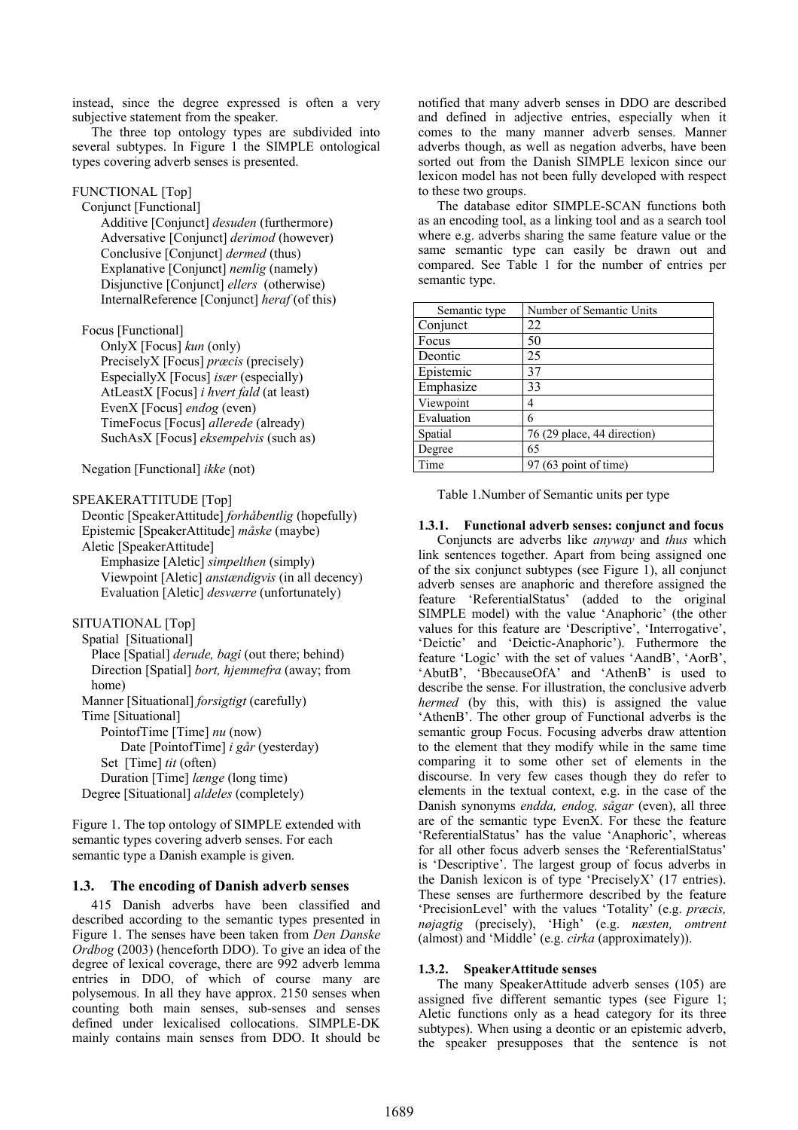instead, since the degree expressed is often a very subjective statement from the speaker.

The three top ontology types are subdivided into several subtypes. In Figure 1 the SIMPLE ontological types covering adverb senses is presented.

# FUNCTIONAL [Top]

Conjunct [Functional] Additive [Conjunct] *desuden* (furthermore) Adversative [Conjunct] *derimod* (however) Conclusive [Conjunct] *dermed* (thus) Explanative [Conjunct] *nemlig* (namely) Disjunctive [Conjunct] *ellers* (otherwise) InternalReference [Conjunct] *heraf* (of this)

# Focus [Functional]

OnlyX [Focus] *kun* (only) PreciselyX [Focus] *præcis* (precisely) EspeciallyX [Focus] *især* (especially) AtLeastX [Focus] *i hvert fald* (at least) EvenX [Focus] *endog* (even) TimeFocus [Focus] *allerede* (already) SuchAsX [Focus] *eksempelvis* (such as)

Negation [Functional] *ikke* (not)

## SPEAKERATTITUDE [Top]

Deontic [SpeakerAttitude] *forhåbentlig* (hopefully) Epistemic [SpeakerAttitude] *måske* (maybe) Aletic [SpeakerAttitude] Emphasize [Aletic] *simpelthen* (simply) Viewpoint [Aletic] *anstændigvis* (in all decency) Evaluation [Aletic] *desværre* (unfortunately)

# SITUATIONAL [Top]

Spatial [Situational] Place [Spatial] *derude, bagi* (out there; behind) Direction [Spatial] *bort, hjemmefra* (away; from home)

Manner [Situational] *forsigtigt* (carefully) Time [Situational]

PointofTime [Time] *nu* (now) Date [PointofTime] *i går* (yesterday) Set [Time] *tit* (often) Duration [Time] *længe* (long time) Degree [Situational] *aldeles* (completely)

Figure 1. The top ontology of SIMPLE extended with semantic types covering adverb senses. For each semantic type a Danish example is given.

# **1.3. The encoding of Danish adverb senses**

415 Danish adverbs have been classified and described according to the semantic types presented in Figure 1. The senses have been taken from *Den Danske Ordbog* (2003) (henceforth DDO). To give an idea of the degree of lexical coverage, there are 992 adverb lemma entries in DDO, of which of course many are polysemous. In all they have approx. 2150 senses when counting both main senses, sub-senses and senses defined under lexicalised collocations. SIMPLE-DK mainly contains main senses from DDO. It should be

notified that many adverb senses in DDO are described and defined in adjective entries, especially when it comes to the many manner adverb senses. Manner adverbs though, as well as negation adverbs, have been sorted out from the Danish SIMPLE lexicon since our lexicon model has not been fully developed with respect to these two groups.

The database editor SIMPLE-SCAN functions both as an encoding tool, as a linking tool and as a search tool where e.g. adverbs sharing the same feature value or the same semantic type can easily be drawn out and compared. See Table 1 for the number of entries per semantic type.

| Semantic type | Number of Semantic Units    |
|---------------|-----------------------------|
| Conjunct      | 22                          |
| Focus         | 50                          |
| Deontic       | 25                          |
| Epistemic     | 37                          |
| Emphasize     | 33                          |
| Viewpoint     | 4                           |
| Evaluation    | 6                           |
| Spatial       | 76 (29 place, 44 direction) |
| Degree        | 65                          |
| Time          | $97(63$ point of time)      |

Table 1.Number of Semantic units per type

# **1.3.1. Functional adverb senses: conjunct and focus**

Conjuncts are adverbs like *anyway* and *thus* which link sentences together. Apart from being assigned one of the six conjunct subtypes (see Figure 1), all conjunct adverb senses are anaphoric and therefore assigned the feature 'ReferentialStatus' (added to the original SIMPLE model) with the value 'Anaphoric' (the other values for this feature are 'Descriptive', 'Interrogative', 'Deictic' and 'Deictic-Anaphoric'). Futhermore the feature 'Logic' with the set of values 'AandB', 'AorB', 'AbutB', 'BbecauseOfA' and 'AthenB' is used to describe the sense. For illustration, the conclusive adverb *hermed* (by this, with this) is assigned the value 'AthenB'. The other group of Functional adverbs is the semantic group Focus. Focusing adverbs draw attention to the element that they modify while in the same time comparing it to some other set of elements in the discourse. In very few cases though they do refer to elements in the textual context, e.g. in the case of the Danish synonyms *endda, endog, sågar* (even), all three are of the semantic type EvenX. For these the feature 'ReferentialStatus' has the value 'Anaphoric', whereas for all other focus adverb senses the 'ReferentialStatus' is 'Descriptive'. The largest group of focus adverbs in the Danish lexicon is of type 'PreciselyX' (17 entries). These senses are furthermore described by the feature 'PrecisionLevel' with the values 'Totality' (e.g. *præcis, nøjagtig* (precisely), 'High' (e.g. *næsten, omtrent*  (almost) and 'Middle' (e.g. *cirka* (approximately)).

## **1.3.2. SpeakerAttitude senses**

The many SpeakerAttitude adverb senses (105) are assigned five different semantic types (see Figure 1; Aletic functions only as a head category for its three subtypes). When using a deontic or an epistemic adverb, the speaker presupposes that the sentence is not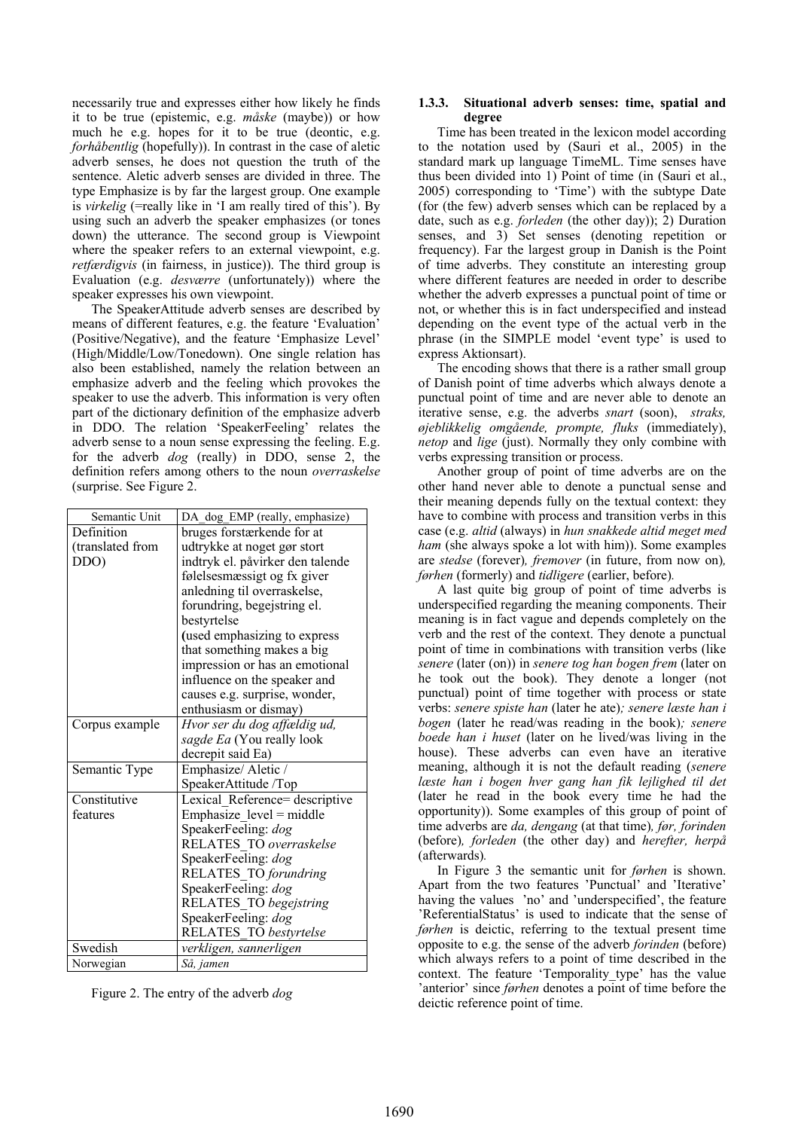necessarily true and expresses either how likely he finds it to be true (epistemic, e.g. *måske* (maybe)) or how much he e.g. hopes for it to be true (deontic, e.g. *forhåbentlig* (hopefully)). In contrast in the case of aletic adverb senses, he does not question the truth of the sentence. Aletic adverb senses are divided in three. The type Emphasize is by far the largest group. One example is *virkelig* (=really like in 'I am really tired of this'). By using such an adverb the speaker emphasizes (or tones down) the utterance. The second group is Viewpoint where the speaker refers to an external viewpoint, e.g. *retfærdigvis* (in fairness, in justice)). The third group is Evaluation (e.g. *desværre* (unfortunately)) where the speaker expresses his own viewpoint.

The SpeakerAttitude adverb senses are described by means of different features, e.g. the feature 'Evaluation' (Positive/Negative), and the feature 'Emphasize Level' (High/Middle/Low/Tonedown). One single relation has also been established, namely the relation between an emphasize adverb and the feeling which provokes the speaker to use the adverb. This information is very often part of the dictionary definition of the emphasize adverb in DDO. The relation 'SpeakerFeeling' relates the adverb sense to a noun sense expressing the feeling. E.g. for the adverb *dog* (really) in DDO, sense 2, the definition refers among others to the noun *overraskelse* (surprise. See Figure 2.

| Semantic Unit    | DA_dog_EMP (really, emphasize)   |
|------------------|----------------------------------|
| Definition       | bruges forstærkende for at       |
| (translated from | udtrykke at noget gør stort      |
| DDO)             | indtryk el. påvirker den talende |
|                  | følelsesmæssigt og fx giver      |
|                  | anledning til overraskelse,      |
|                  | forundring, begejstring el.      |
|                  | bestyrtelse                      |
|                  | (used emphasizing to express     |
|                  | that something makes a big       |
|                  | impression or has an emotional   |
|                  | influence on the speaker and     |
|                  | causes e.g. surprise, wonder,    |
|                  | enthusiasm or dismay)            |
| Corpus example   | Hvor ser du dog affældig ud,     |
|                  | sagde Ea (You really look        |
|                  | decrepit said Ea)                |
| Semantic Type    | Emphasize/ Aletic /              |
|                  | SpeakerAttitude /Top             |
| Constitutive     | Lexical Reference= descriptive   |
| features         | Emphasize_level = middle         |
|                  | SpeakerFeeling: dog              |
|                  | RELATES TO overraskelse          |
|                  | SpeakerFeeling: dog              |
|                  | RELATES_TO forundring            |
|                  | SpeakerFeeling: dog              |
|                  | RELATES TO begejstring           |
|                  | SpeakerFeeling: dog              |
|                  | RELATES TO bestyrtelse           |
| Swedish          | verkligen, sannerligen           |
| Norwegian        | Så, jamen                        |

Figure 2. The entry of the adverb *dog* 

#### **1.3.3. Situational adverb senses: time, spatial and degree**

Time has been treated in the lexicon model according to the notation used by (Sauri et al., 2005) in the standard mark up language TimeML. Time senses have thus been divided into 1) Point of time (in (Sauri et al., 2005) corresponding to 'Time') with the subtype Date (for (the few) adverb senses which can be replaced by a date, such as e.g. *forleden* (the other day)); 2) Duration senses, and 3) Set senses (denoting repetition or frequency). Far the largest group in Danish is the Point of time adverbs. They constitute an interesting group where different features are needed in order to describe whether the adverb expresses a punctual point of time or not, or whether this is in fact underspecified and instead depending on the event type of the actual verb in the phrase (in the SIMPLE model 'event type' is used to express Aktionsart).

The encoding shows that there is a rather small group of Danish point of time adverbs which always denote a punctual point of time and are never able to denote an iterative sense, e.g. the adverbs *snart* (soon), *straks, øjeblikkelig omgående, prompte, fluks* (immediately), *netop* and *lige* (just). Normally they only combine with verbs expressing transition or process.

Another group of point of time adverbs are on the other hand never able to denote a punctual sense and their meaning depends fully on the textual context: they have to combine with process and transition verbs in this case (e.g. *altid* (always) in *hun snakkede altid meget med ham* (she always spoke a lot with him)). Some examples are *stedse* (forever)*, fremover* (in future, from now on)*, førhen* (formerly) and *tidligere* (earlier, before)*.* 

A last quite big group of point of time adverbs is underspecified regarding the meaning components. Their meaning is in fact vague and depends completely on the verb and the rest of the context. They denote a punctual point of time in combinations with transition verbs (like *senere* (later (on)) in *senere tog han bogen frem* (later on he took out the book). They denote a longer (not punctual) point of time together with process or state verbs: *senere spiste han* (later he ate)*; senere læste han i bogen* (later he read/was reading in the book)*; senere boede han i huset* (later on he lived/was living in the house). These adverbs can even have an iterative meaning, although it is not the default reading (*senere læste han i bogen hver gang han fik lejlighed til det* (later he read in the book every time he had the opportunity)). Some examples of this group of point of time adverbs are *da, dengang* (at that time)*, før, forinden*  (before)*, forleden* (the other day) and *herefter, herpå*  (afterwards)*.* 

In Figure 3 the semantic unit for *førhen* is shown. Apart from the two features 'Punctual' and 'Iterative' having the values 'no' and 'underspecified', the feature 'ReferentialStatus' is used to indicate that the sense of *førhen* is deictic, referring to the textual present time opposite to e.g. the sense of the adverb *forinden* (before) which always refers to a point of time described in the context. The feature 'Temporality\_type' has the value 'anterior' since *førhen* denotes a point of time before the deictic reference point of time.